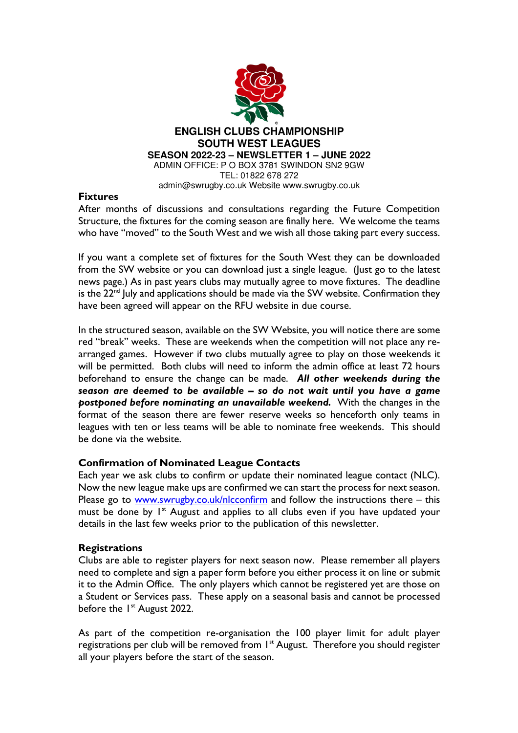

#### **Fixtures**

After months of discussions and consultations regarding the Future Competition Structure, the fixtures for the coming season are finally here. We welcome the teams who have "moved" to the South West and we wish all those taking part every success.

If you want a complete set of fixtures for the South West they can be downloaded from the SW website or you can download just a single league. (Just go to the latest news page.) As in past years clubs may mutually agree to move fixtures. The deadline is the 22<sup>nd</sup> July and applications should be made via the SW website. Confirmation they have been agreed will appear on the RFU website in due course.

In the structured season, available on the SW Website, you will notice there are some red "break" weeks. These are weekends when the competition will not place any rearranged games. However if two clubs mutually agree to play on those weekends it will be permitted. Both clubs will need to inform the admin office at least 72 hours beforehand to ensure the change can be made. *All other weekends during the season are deemed to be available – so do not wait until you have a game postponed before nominating an unavailable weekend.* With the changes in the format of the season there are fewer reserve weeks so henceforth only teams in leagues with ten or less teams will be able to nominate free weekends. This should be done via the website.

### **Confirmation of Nominated League Contacts**

Each year we ask clubs to confirm or update their nominated league contact (NLC). Now the new league make ups are confirmed we can start the process for next season. Please go to www.swrugby.co.uk/nlcconfirm and follow the instructions there – this must be done by  $I<sup>st</sup>$  August and applies to all clubs even if you have updated your details in the last few weeks prior to the publication of this newsletter.

### **Registrations**

Clubs are able to register players for next season now. Please remember all players need to complete and sign a paper form before you either process it on line or submit it to the Admin Office. The only players which cannot be registered yet are those on a Student or Services pass. These apply on a seasonal basis and cannot be processed before the 1<sup>st</sup> August 2022.

As part of the competition re-organisation the 100 player limit for adult player registrations per club will be removed from 1<sup>st</sup> August. Therefore you should register all your players before the start of the season.